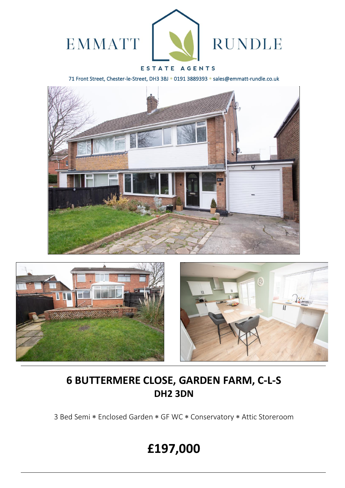

### ESTATE AGENTS

71 Front Street, Chester-le-Street, DH3 3BJ \* 0191 3889393 \* sales@emmatt-rundle.co.uk







# **6 BUTTERMERE CLOSE, GARDEN FARM, C-L-S DH2 3DN**

3 Bed Semi \* Enclosed Garden \* GF WC \* Conservatory \* Attic Storeroom

# **£197,000**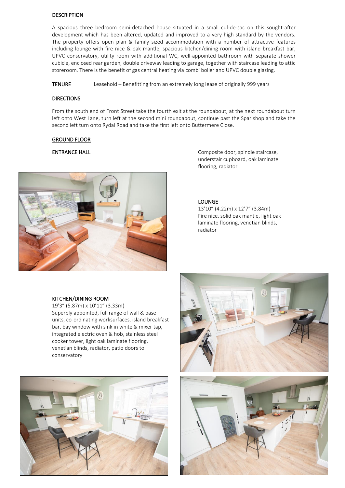#### **DESCRIPTION**

A spacious three bedroom semi-detached house situated in a small cul-de-sac on this sought-after development which has been altered, updated and improved to a very high standard by the vendors. The property offers open plan & family sized accommodation with a number of attractive features including lounge with fire nice & oak mantle, spacious kitchen/dining room with island breakfast bar, UPVC conservatory, utility room with additional WC, well-appointed bathroom with separate shower cubicle, enclosed rear garden, double driveway leading to garage, together with staircase leading to attic storeroom. There is the benefit of gas central heating via combi boiler and UPVC double glazing.

TENURE Leasehold – Benefitting from an extremely long lease of originally 999 years

#### **DIRECTIONS**

From the south end of Front Street take the fourth exit at the roundabout, at the next roundabout turn left onto West Lane, turn left at the second mini roundabout, continue past the Spar shop and take the second left turn onto Rydal Road and take the first left onto Buttermere Close.

#### GROUND FLOOR

## **ENTRANCE HALL**



Composite door, spindle staircase, understair cupboard, oak laminate flooring, radiator

#### LOUNGE

13'10" (4.22m) x 12'7" (3.84m) Fire nice, solid oak mantle, light oak laminate flooring, venetian blinds, radiator

#### KITCHEN/DINING ROOM

19'3" (5.87m) x 10'11" (3.33m) Superbly appointed, full range of wall & base units, co-ordinating worksurfaces, island breakfast bar, bay window with sink in white & mixer tap, integrated electric oven & hob, stainless steel cooker tower, light oak laminate flooring, venetian blinds, radiator, patio doors to conservatory



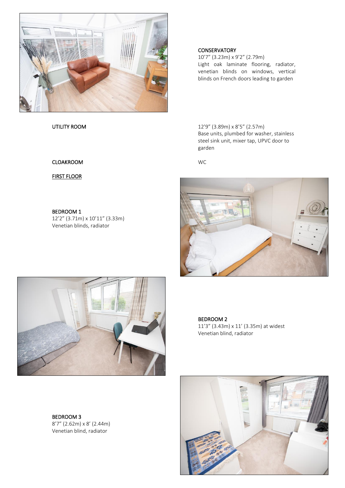

#### **CONSERVATORY**

10'7" (3.23m) x 9'2" (2.79m) Light oak laminate flooring, radiator, venetian blinds on windows, vertical blinds on French doors leading to garden

UTILITY ROOM 12'9" (3.89m) x 8'5" (2.57m) Base units, plumbed for washer, stainless steel sink unit, mixer tap, UPVC door to garden

CLOAKROOM WC





BEDROOM 2 11'3" (3.43m) x 11' (3.35m) at widest Venetian blind, radiator

BEDROOM 3 8'7" (2.62m) x 8' (2.44m) Venetian blind, radiator



FIRST FLOOR

BEDROOM 1 12'2" (3.71m) x 10'11" (3.33m) Venetian blinds, radiator